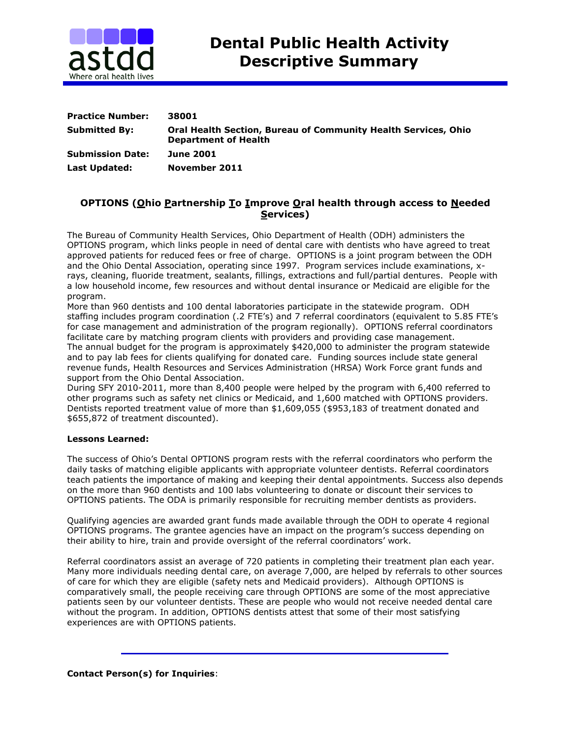

| <b>Practice Number:</b> | 38001                                                                                                |
|-------------------------|------------------------------------------------------------------------------------------------------|
| <b>Submitted By:</b>    | <b>Oral Health Section, Bureau of Community Health Services, Ohio</b><br><b>Department of Health</b> |
| <b>Submission Date:</b> | <b>June 2001</b>                                                                                     |
| <b>Last Updated:</b>    | November 2011                                                                                        |

## **OPTIONS (Ohio Partnership To Improve Oral health through access to Needed Services)**

The Bureau of Community Health Services, Ohio Department of Health (ODH) administers the OPTIONS program, which links people in need of dental care with dentists who have agreed to treat approved patients for reduced fees or free of charge. OPTIONS is a joint program between the ODH and the Ohio Dental Association, operating since 1997. Program services include examinations, xrays, cleaning, fluoride treatment, sealants, fillings, extractions and full/partial dentures. People with a low household income, few resources and without dental insurance or Medicaid are eligible for the program.

More than 960 dentists and 100 dental laboratories participate in the statewide program. ODH staffing includes program coordination (.2 FTE's) and 7 referral coordinators (equivalent to 5.85 FTE's for case management and administration of the program regionally). OPTIONS referral coordinators facilitate care by matching program clients with providers and providing case management. The annual budget for the program is approximately \$420,000 to administer the program statewide and to pay lab fees for clients qualifying for donated care. Funding sources include state general revenue funds, Health Resources and Services Administration (HRSA) Work Force grant funds and support from the Ohio Dental Association.

During SFY 2010-2011, more than 8,400 people were helped by the program with 6,400 referred to other programs such as safety net clinics or Medicaid, and 1,600 matched with OPTIONS providers. Dentists reported treatment value of more than \$1,609,055 (\$953,183 of treatment donated and \$655,872 of treatment discounted).

## **Lessons Learned:**

The success of Ohio's Dental OPTIONS program rests with the referral coordinators who perform the daily tasks of matching eligible applicants with appropriate volunteer dentists. Referral coordinators teach patients the importance of making and keeping their dental appointments. Success also depends on the more than 960 dentists and 100 labs volunteering to donate or discount their services to OPTIONS patients. The ODA is primarily responsible for recruiting member dentists as providers.

Qualifying agencies are awarded grant funds made available through the ODH to operate 4 regional OPTIONS programs. The grantee agencies have an impact on the program's success depending on their ability to hire, train and provide oversight of the referral coordinators' work.

Referral coordinators assist an average of 720 patients in completing their treatment plan each year. Many more individuals needing dental care, on average 7,000, are helped by referrals to other sources of care for which they are eligible (safety nets and Medicaid providers). Although OPTIONS is comparatively small, the people receiving care through OPTIONS are some of the most appreciative patients seen by our volunteer dentists. These are people who would not receive needed dental care without the program. In addition, OPTIONS dentists attest that some of their most satisfying experiences are with OPTIONS patients.